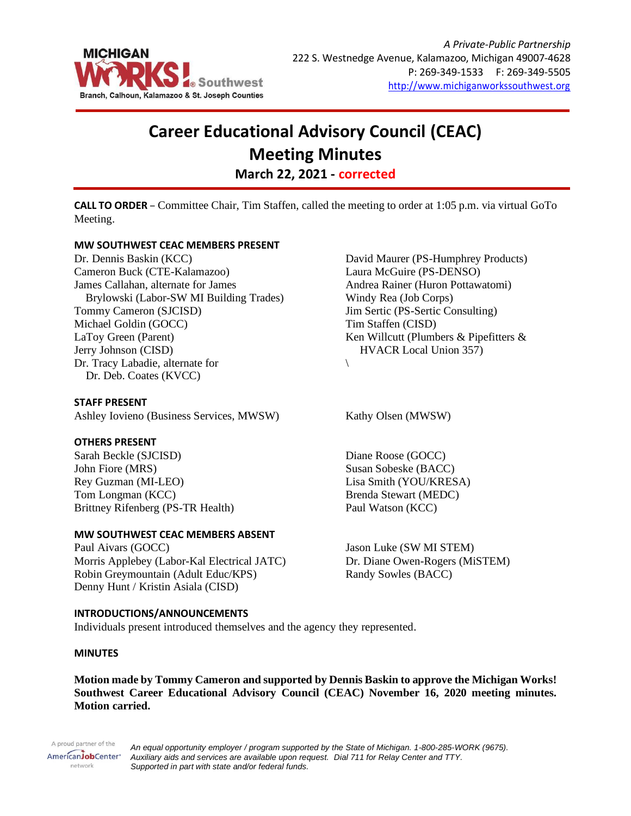

# **Career Educational Advisory Council (CEAC) Meeting Minutes March 22, 2021 - corrected**

**CALL TO ORDER** – Committee Chair, Tim Staffen, called the meeting to order at 1:05 p.m. via virtual GoTo Meeting.

#### **MW SOUTHWEST CEAC MEMBERS PRESENT**

Dr. Dennis Baskin (KCC) Cameron Buck (CTE-Kalamazoo) James Callahan, alternate for James Brylowski (Labor-SW MI Building Trades) Tommy Cameron (SJCISD) Michael Goldin (GOCC) LaToy Green (Parent) Jerry Johnson (CISD) Dr. Tracy Labadie, alternate for Dr. Deb. Coates (KVCC)

**STAFF PRESENT** Ashley Iovieno (Business Services, MWSW) Kathy Olsen (MWSW)

#### **OTHERS PRESENT**

Sarah Beckle (SJCISD) John Fiore (MRS) Rey Guzman (MI-LEO) Tom Longman (KCC) Brittney Rifenberg (PS-TR Health)

#### **MW SOUTHWEST CEAC MEMBERS ABSENT**

Paul Aivars (GOCC) Morris Applebey (Labor-Kal Electrical JATC) Robin Greymountain (Adult Educ/KPS) Denny Hunt / Kristin Asiala (CISD)

#### **INTRODUCTIONS/ANNOUNCEMENTS**

Individuals present introduced themselves and the agency they represented.

#### **MINUTES**

**Motion made by Tommy Cameron and supported by Dennis Baskin to approve the Michigan Works! Southwest Career Educational Advisory Council (CEAC) November 16, 2020 meeting minutes. Motion carried.**

A proud partner of the AmericanJobCenter<sup>®</sup> network

*An equal opportunity employer / program supported by the State of Michigan. 1-800-285-WORK (9675). Auxiliary aids and services are available upon request. Dial 711 for Relay Center and TTY. Supported in part with state and/or federal funds.*

David Maurer (PS-Humphrey Products) Laura McGuire (PS-DENSO) Andrea Rainer (Huron Pottawatomi) Windy Rea (Job Corps) Jim Sertic (PS-Sertic Consulting) Tim Staffen (CISD) Ken Willcutt (Plumbers & Pipefitters & HVACR Local Union 357)

 $\setminus$ 

Diane Roose (GOCC) Susan Sobeske (BACC) Lisa Smith (YOU/KRESA) Brenda Stewart (MEDC) Paul Watson (KCC)

Jason Luke (SW MI STEM) Dr. Diane Owen-Rogers (MiSTEM) Randy Sowles (BACC)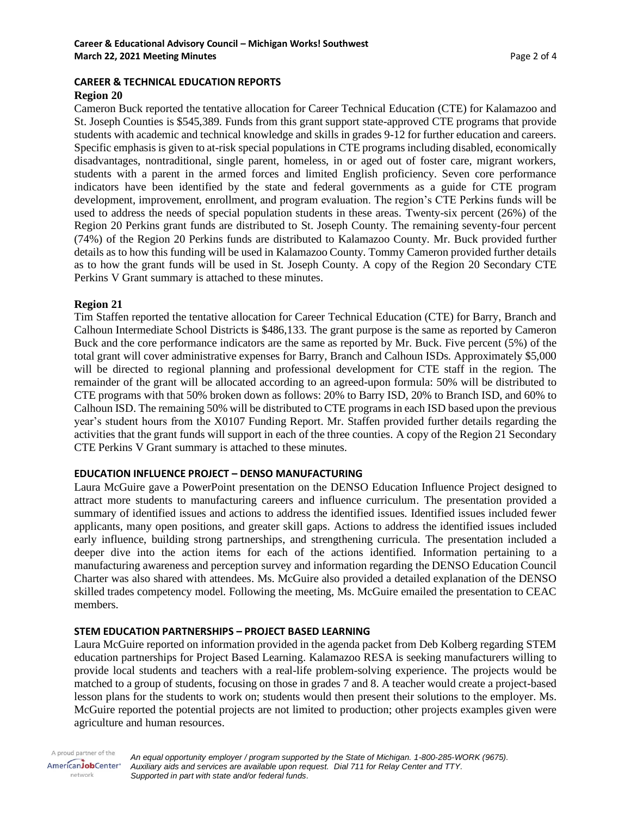#### **CAREER & TECHNICAL EDUCATION REPORTS Region 20**

### Cameron Buck reported the tentative allocation for Career Technical Education (CTE) for Kalamazoo and St. Joseph Counties is \$545,389. Funds from this grant support state-approved CTE programs that provide students with academic and technical knowledge and skills in grades 9-12 for further education and careers. Specific emphasis is given to at-risk special populations in CTE programs including disabled, economically disadvantages, nontraditional, single parent, homeless, in or aged out of foster care, migrant workers, students with a parent in the armed forces and limited English proficiency. Seven core performance indicators have been identified by the state and federal governments as a guide for CTE program development, improvement, enrollment, and program evaluation. The region's CTE Perkins funds will be used to address the needs of special population students in these areas. Twenty-six percent (26%) of the Region 20 Perkins grant funds are distributed to St. Joseph County. The remaining seventy-four percent (74%) of the Region 20 Perkins funds are distributed to Kalamazoo County. Mr. Buck provided further details as to how this funding will be used in Kalamazoo County. Tommy Cameron provided further details as to how the grant funds will be used in St. Joseph County. A copy of the Region 20 Secondary CTE Perkins V Grant summary is attached to these minutes.

#### **Region 21**

Tim Staffen reported the tentative allocation for Career Technical Education (CTE) for Barry, Branch and Calhoun Intermediate School Districts is \$486,133. The grant purpose is the same as reported by Cameron Buck and the core performance indicators are the same as reported by Mr. Buck. Five percent (5%) of the total grant will cover administrative expenses for Barry, Branch and Calhoun ISDs. Approximately \$5,000 will be directed to regional planning and professional development for CTE staff in the region. The remainder of the grant will be allocated according to an agreed-upon formula: 50% will be distributed to CTE programs with that 50% broken down as follows: 20% to Barry ISD, 20% to Branch ISD, and 60% to Calhoun ISD. The remaining 50% will be distributed to CTE programs in each ISD based upon the previous year's student hours from the X0107 Funding Report. Mr. Staffen provided further details regarding the activities that the grant funds will support in each of the three counties. A copy of the Region 21 Secondary CTE Perkins V Grant summary is attached to these minutes.

#### **EDUCATION INFLUENCE PROJECT – DENSO MANUFACTURING**

Laura McGuire gave a PowerPoint presentation on the DENSO Education Influence Project designed to attract more students to manufacturing careers and influence curriculum. The presentation provided a summary of identified issues and actions to address the identified issues. Identified issues included fewer applicants, many open positions, and greater skill gaps. Actions to address the identified issues included early influence, building strong partnerships, and strengthening curricula. The presentation included a deeper dive into the action items for each of the actions identified. Information pertaining to a manufacturing awareness and perception survey and information regarding the DENSO Education Council Charter was also shared with attendees. Ms. McGuire also provided a detailed explanation of the DENSO skilled trades competency model. Following the meeting, Ms. McGuire emailed the presentation to CEAC members.

#### **STEM EDUCATION PARTNERSHIPS – PROJECT BASED LEARNING**

Laura McGuire reported on information provided in the agenda packet from Deb Kolberg regarding STEM education partnerships for Project Based Learning. Kalamazoo RESA is seeking manufacturers willing to provide local students and teachers with a real-life problem-solving experience. The projects would be matched to a group of students, focusing on those in grades 7 and 8. A teacher would create a project-based lesson plans for the students to work on; students would then present their solutions to the employer. Ms. McGuire reported the potential projects are not limited to production; other projects examples given were agriculture and human resources.

A proud partner of the AmericanJobCenter\* network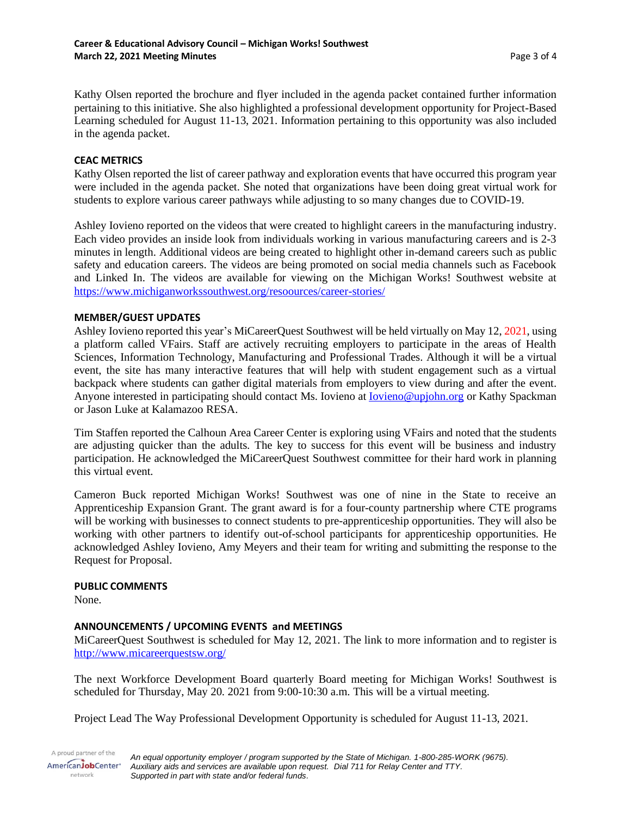Kathy Olsen reported the brochure and flyer included in the agenda packet contained further information pertaining to this initiative. She also highlighted a professional development opportunity for Project-Based Learning scheduled for August 11-13, 2021. Information pertaining to this opportunity was also included in the agenda packet.

#### **CEAC METRICS**

Kathy Olsen reported the list of career pathway and exploration events that have occurred this program year were included in the agenda packet. She noted that organizations have been doing great virtual work for students to explore various career pathways while adjusting to so many changes due to COVID-19.

Ashley Iovieno reported on the videos that were created to highlight careers in the manufacturing industry. Each video provides an inside look from individuals working in various manufacturing careers and is 2-3 minutes in length. Additional videos are being created to highlight other in-demand careers such as public safety and education careers. The videos are being promoted on social media channels such as Facebook and Linked In. The videos are available for viewing on the Michigan Works! Southwest website at <https://www.michiganworkssouthwest.org/resoources/career-stories/>

#### **MEMBER/GUEST UPDATES**

Ashley Iovieno reported this year's MiCareerQuest Southwest will be held virtually on May 12, 2021, using a platform called VFairs. Staff are actively recruiting employers to participate in the areas of Health Sciences, Information Technology, Manufacturing and Professional Trades. Although it will be a virtual event, the site has many interactive features that will help with student engagement such as a virtual backpack where students can gather digital materials from employers to view during and after the event. Anyone interested in participating should contact Ms. Iovieno at [Iovieno@upjohn.org](mailto:Iovieno@upjohn.org) or Kathy Spackman or Jason Luke at Kalamazoo RESA.

Tim Staffen reported the Calhoun Area Career Center is exploring using VFairs and noted that the students are adjusting quicker than the adults. The key to success for this event will be business and industry participation. He acknowledged the MiCareerQuest Southwest committee for their hard work in planning this virtual event.

Cameron Buck reported Michigan Works! Southwest was one of nine in the State to receive an Apprenticeship Expansion Grant. The grant award is for a four-county partnership where CTE programs will be working with businesses to connect students to pre-apprenticeship opportunities. They will also be working with other partners to identify out-of-school participants for apprenticeship opportunities. He acknowledged Ashley Iovieno, Amy Meyers and their team for writing and submitting the response to the Request for Proposal.

#### **PUBLIC COMMENTS**

None.

#### **ANNOUNCEMENTS / UPCOMING EVENTS and MEETINGS**

MiCareerQuest Southwest is scheduled for May 12, 2021. The link to more information and to register is <http://www.micareerquestsw.org/>

The next Workforce Development Board quarterly Board meeting for Michigan Works! Southwest is scheduled for Thursday, May 20. 2021 from 9:00-10:30 a.m. This will be a virtual meeting.

Project Lead The Way Professional Development Opportunity is scheduled for August 11-13, 2021.

A proud partner of the *An equal opportunity employer / program supported by the State of Michigan. 1-800-285-WORK (9675).* AmericanJobCenter<sup>®</sup> *Auxiliary aids and services are available upon request. Dial 711 for Relay Center and TTY.* network *Supported in part with state and/or federal funds.*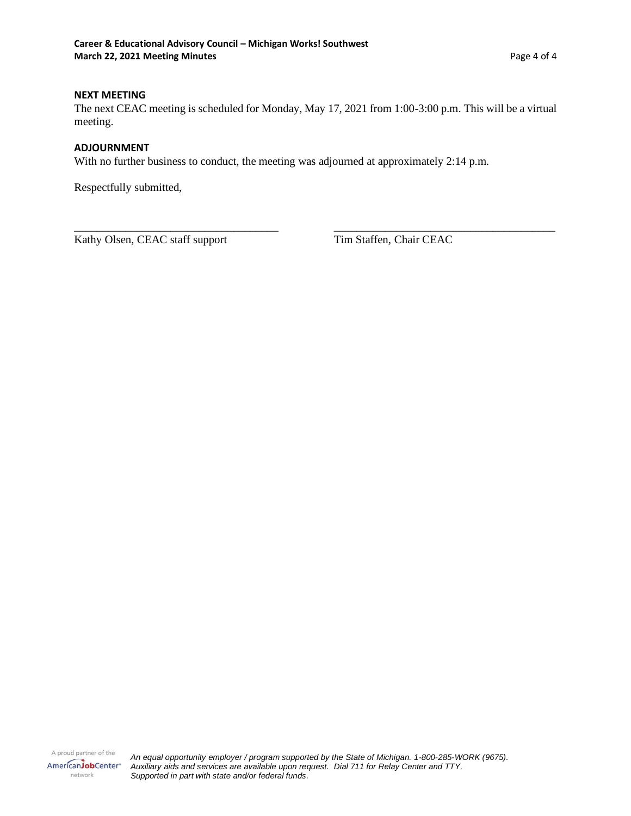#### **NEXT MEETING**

The next CEAC meeting is scheduled for Monday, May 17, 2021 from 1:00-3:00 p.m. This will be a virtual meeting.

\_\_\_\_\_\_\_\_\_\_\_\_\_\_\_\_\_\_\_\_\_\_\_\_\_\_\_\_\_\_\_\_\_\_\_\_ \_\_\_\_\_\_\_\_\_\_\_\_\_\_\_\_\_\_\_\_\_\_\_\_\_\_\_\_\_\_\_\_\_\_\_\_\_\_\_

#### **ADJOURNMENT**

With no further business to conduct, the meeting was adjourned at approximately 2:14 p.m.

Respectfully submitted,

Kathy Olsen, CEAC staff support Tim Staffen, Chair CEAC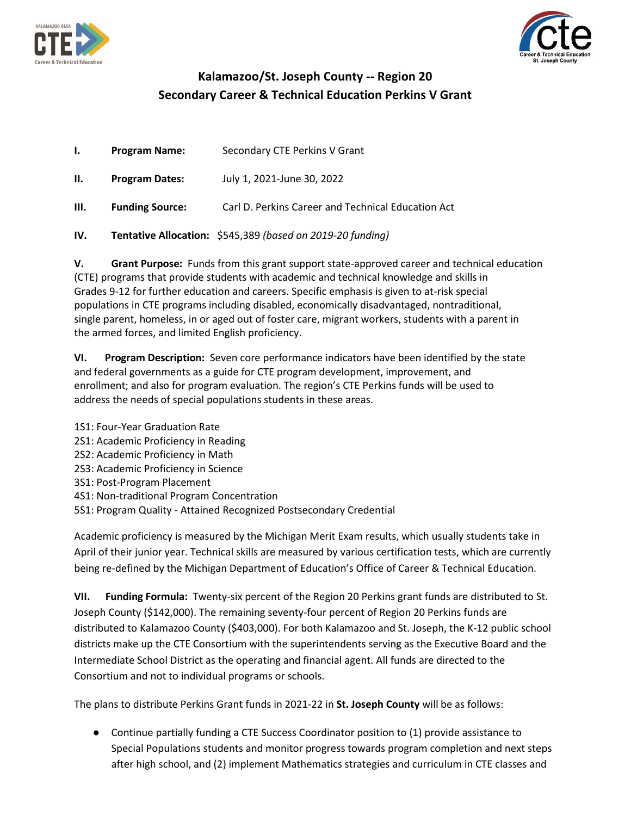



## **Kalamazoo/St. Joseph County -- Region 20 Secondary Career & Technical Education Perkins V Grant**

| $\mathbf{I}$ . | <b>Program Name:</b>   | Secondary CTE Perkins V Grant                              |
|----------------|------------------------|------------------------------------------------------------|
| Н.             | <b>Program Dates:</b>  | July 1, 2021-June 30, 2022                                 |
| Ш.             | <b>Funding Source:</b> | Carl D. Perkins Career and Technical Education Act         |
| IV.            |                        | Tentative Allocation: \$545,389 (based on 2019-20 funding) |

**V. Grant Purpose:** Funds from this grant support state-approved career and technical education (CTE) programs that provide students with academic and technical knowledge and skills in Grades 9-12 for further education and careers. Specific emphasis is given to at-risk special populations in CTE programs including disabled, economically disadvantaged, nontraditional, single parent, homeless, in or aged out of foster care, migrant workers, students with a parent in the armed forces, and limited English proficiency.

**VI. Program Description:** Seven core performance indicators have been identified by the state and federal governments as a guide for CTE program development, improvement, and enrollment; and also for program evaluation. The region's CTE Perkins funds will be used to address the needs of special populations students in these areas.

2S1: Academic Proficiency in Reading 2S2: Academic Proficiency in Math 2S3: Academic Proficiency in Science

3S1: Post-Program Placement

1S1: Four-Year Graduation Rate

- 4S1: Non-traditional Program Concentration
- 5S1: Program Quality Attained Recognized Postsecondary Credential

Academic proficiency is measured by the Michigan Merit Exam results, which usually students take in April of their junior year. Technical skills are measured by various certification tests, which are currently being re-defined by the Michigan Department of Education's Office of Career & Technical Education.

**VII. Funding Formula:** Twenty-six percent of the Region 20 Perkins grant funds are distributed to St. Joseph County (\$142,000). The remaining seventy-four percent of Region 20 Perkins funds are distributed to Kalamazoo County (\$403,000). For both Kalamazoo and St. Joseph, the K-12 public school districts make up the CTE Consortium with the superintendents serving as the Executive Board and the Intermediate School District as the operating and financial agent. All funds are directed to the Consortium and not to individual programs or schools.

The plans to distribute Perkins Grant funds in 2021-22 in **St. Joseph County** will be as follows:

● Continue partially funding a CTE Success Coordinator position to (1) provide assistance to Special Populations students and monitor progress towards program completion and next steps after high school, and (2) implement Mathematics strategies and curriculum in CTE classes and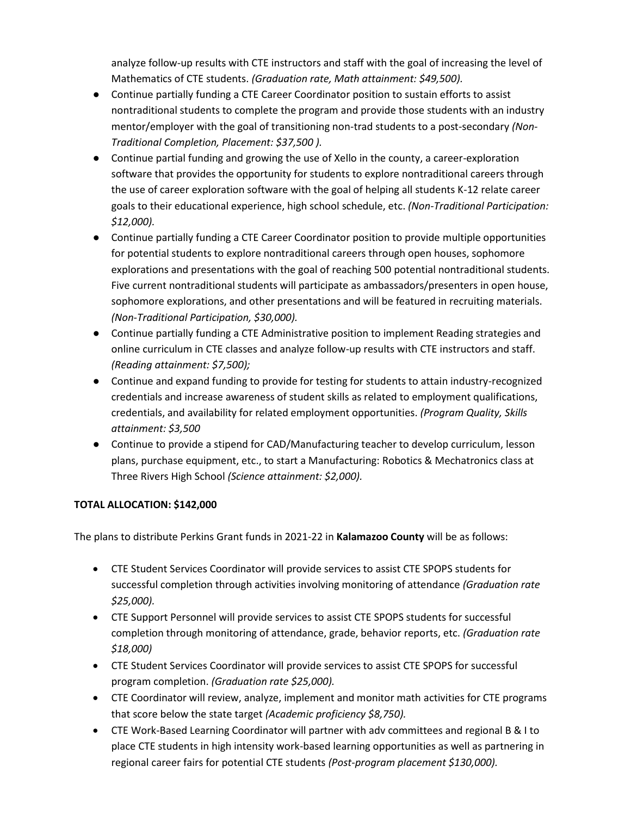analyze follow-up results with CTE instructors and staff with the goal of increasing the level of Mathematics of CTE students. *(Graduation rate, Math attainment: \$49,500).*

- Continue partially funding a CTE Career Coordinator position to sustain efforts to assist nontraditional students to complete the program and provide those students with an industry mentor/employer with the goal of transitioning non-trad students to a post-secondary *(Non-Traditional Completion, Placement: \$37,500 ).*
- Continue partial funding and growing the use of Xello in the county, a career-exploration software that provides the opportunity for students to explore nontraditional careers through the use of career exploration software with the goal of helping all students K-12 relate career goals to their educational experience, high school schedule, etc. *(Non-Traditional Participation: \$12,000).*
- Continue partially funding a CTE Career Coordinator position to provide multiple opportunities for potential students to explore nontraditional careers through open houses, sophomore explorations and presentations with the goal of reaching 500 potential nontraditional students. Five current nontraditional students will participate as ambassadors/presenters in open house, sophomore explorations, and other presentations and will be featured in recruiting materials. *(Non-Traditional Participation, \$30,000).*
- Continue partially funding a CTE Administrative position to implement Reading strategies and online curriculum in CTE classes and analyze follow-up results with CTE instructors and staff. *(Reading attainment: \$7,500);*
- Continue and expand funding to provide for testing for students to attain industry-recognized credentials and increase awareness of student skills as related to employment qualifications, credentials, and availability for related employment opportunities. *(Program Quality, Skills attainment: \$3,500*
- Continue to provide a stipend for CAD/Manufacturing teacher to develop curriculum, lesson plans, purchase equipment, etc., to start a Manufacturing: Robotics & Mechatronics class at Three Rivers High School *(Science attainment: \$2,000).*

### **TOTAL ALLOCATION: \$142,000**

The plans to distribute Perkins Grant funds in 2021-22 in **Kalamazoo County** will be as follows:

- CTE Student Services Coordinator will provide services to assist CTE SPOPS students for successful completion through activities involving monitoring of attendance *(Graduation rate \$25,000).*
- CTE Support Personnel will provide services to assist CTE SPOPS students for successful completion through monitoring of attendance, grade, behavior reports, etc. *(Graduation rate \$18,000)*
- CTE Student Services Coordinator will provide services to assist CTE SPOPS for successful program completion. *(Graduation rate \$25,000).*
- CTE Coordinator will review, analyze, implement and monitor math activities for CTE programs that score below the state target *(Academic proficiency \$8,750).*
- CTE Work-Based Learning Coordinator will partner with adv committees and regional B & I to place CTE students in high intensity work-based learning opportunities as well as partnering in regional career fairs for potential CTE students *(Post-program placement \$130,000).*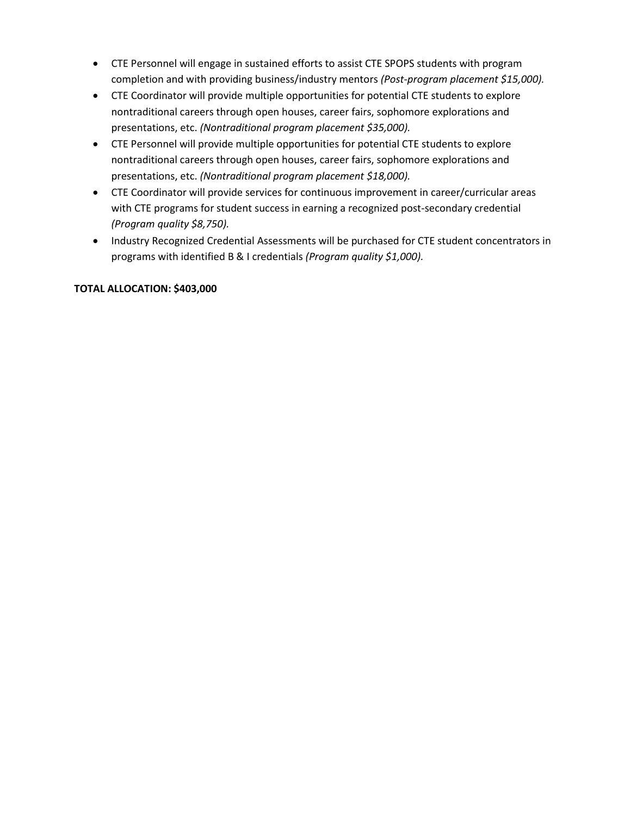- CTE Personnel will engage in sustained efforts to assist CTE SPOPS students with program completion and with providing business/industry mentors *(Post-program placement \$15,000).*
- CTE Coordinator will provide multiple opportunities for potential CTE students to explore nontraditional careers through open houses, career fairs, sophomore explorations and presentations, etc. *(Nontraditional program placement \$35,000).*
- CTE Personnel will provide multiple opportunities for potential CTE students to explore nontraditional careers through open houses, career fairs, sophomore explorations and presentations, etc. *(Nontraditional program placement \$18,000).*
- CTE Coordinator will provide services for continuous improvement in career/curricular areas with CTE programs for student success in earning a recognized post-secondary credential *(Program quality \$8,750).*
- Industry Recognized Credential Assessments will be purchased for CTE student concentrators in programs with identified B & I credentials *(Program quality \$1,000).*

### **TOTAL ALLOCATION: \$403,000**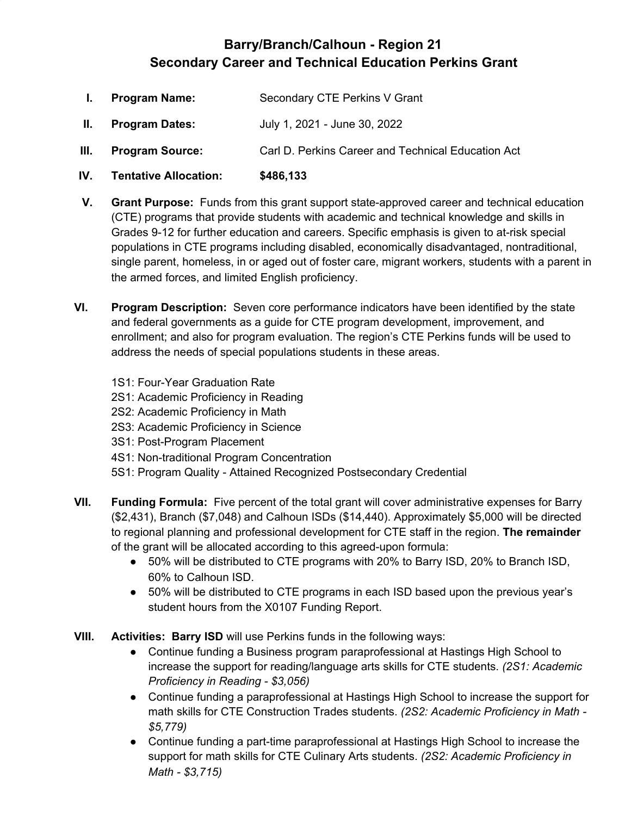## **Barry/Branch/Calhoun - Region 21 Secondary Career and Technical Education Perkins Grant**

- **I. Program Name:** Secondary CTE Perkins V Grant
- **II. Program Dates:** July 1, 2021 June 30, 2022
- **III. Program Source:** Carl D. Perkins Career and Technical Education Act
- **IV. Tentative Allocation: \$486,133**
- **V. Grant Purpose:** Funds from this grant support state-approved career and technical education (CTE) programs that provide students with academic and technical knowledge and skills in Grades 9-12 for further education and careers. Specific emphasis is given to at-risk special populations in CTE programs including disabled, economically disadvantaged, nontraditional, single parent, homeless, in or aged out of foster care, migrant workers, students with a parent in the armed forces, and limited English proficiency.
- **VI. Program Description:** Seven core performance indicators have been identified by the state and federal governments as a guide for CTE program development, improvement, and enrollment; and also for program evaluation. The region's CTE Perkins funds will be used to address the needs of special populations students in these areas.
	- 1S1: Four-Year Graduation Rate
	- 2S1: Academic Proficiency in Reading
	- 2S2: Academic Proficiency in Math
	- 2S3: Academic Proficiency in Science
	- 3S1: Post-Program Placement
	- 4S1: Non-traditional Program Concentration
	- 5S1: Program Quality Attained Recognized Postsecondary Credential
- **VII. Funding Formula:** Five percent of the total grant will cover administrative expenses for Barry (\$2,431), Branch (\$7,048) and Calhoun ISDs (\$14,440). Approximately \$5,000 will be directed to regional planning and professional development for CTE staff in the region. **The remainder** of the grant will be allocated according to this agreed-upon formula:
	- 50% will be distributed to CTE programs with 20% to Barry ISD, 20% to Branch ISD, 60% to Calhoun ISD.
	- 50% will be distributed to CTE programs in each ISD based upon the previous year's student hours from the X0107 Funding Report.
- **VIII. Activities: Barry ISD** will use Perkins funds in the following ways:
	- Continue funding a Business program paraprofessional at Hastings High School to increase the support for reading/language arts skills for CTE students. *(2S1: Academic Proficiency in Reading - \$3,056)*
	- Continue funding a paraprofessional at Hastings High School to increase the support for math skills for CTE Construction Trades students. *(2S2: Academic Proficiency in Math - \$5,779)*
	- Continue funding a part-time paraprofessional at Hastings High School to increase the support for math skills for CTE Culinary Arts students. *(2S2: Academic Proficiency in Math - \$3,715)*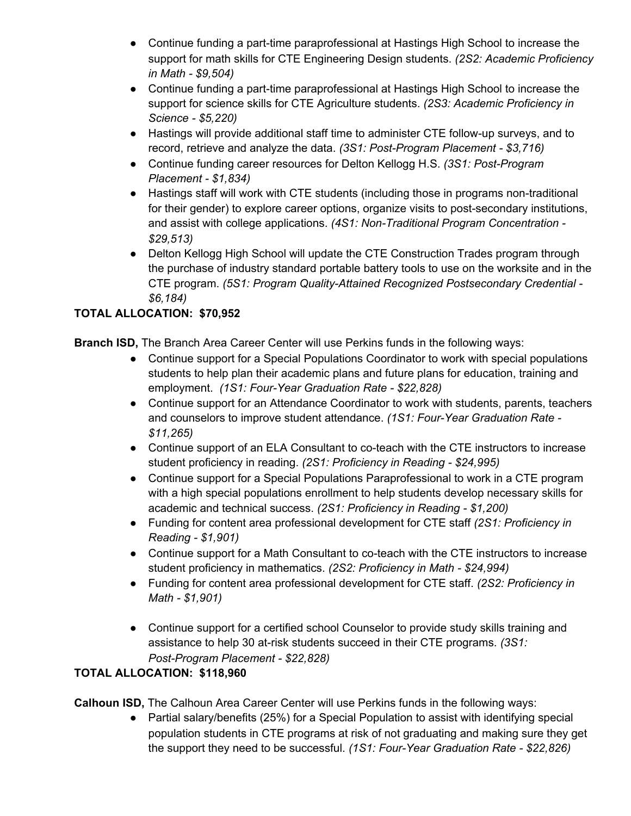- Continue funding a part-time paraprofessional at Hastings High School to increase the support for math skills for CTE Engineering Design students. *(2S2: Academic Proficiency in Math - \$9,504)*
- Continue funding a part-time paraprofessional at Hastings High School to increase the support for science skills for CTE Agriculture students. *(2S3: Academic Proficiency in Science - \$5,220)*
- Hastings will provide additional staff time to administer CTE follow-up surveys, and to record, retrieve and analyze the data. *(3S1: Post-Program Placement - \$3,716)*
- Continue funding career resources for Delton Kellogg H.S. *(3S1: Post-Program Placement - \$1,834)*
- Hastings staff will work with CTE students (including those in programs non-traditional for their gender) to explore career options, organize visits to post-secondary institutions, and assist with college applications. *(4S1: Non-Traditional Program Concentration - \$29,513)*
- Delton Kellogg High School will update the CTE Construction Trades program through the purchase of industry standard portable battery tools to use on the worksite and in the CTE program. *(5S1: Program Quality-Attained Recognized Postsecondary Credential - \$6,184)*

## **TOTAL ALLOCATION: \$70,952**

**Branch ISD,** The Branch Area Career Center will use Perkins funds in the following ways:

- Continue support for a Special Populations Coordinator to work with special populations students to help plan their academic plans and future plans for education, training and employment. *(1S1: Four-Year Graduation Rate - \$22,828)*
- Continue support for an Attendance Coordinator to work with students, parents, teachers and counselors to improve student attendance. *(1S1: Four-Year Graduation Rate - \$11,265)*
- Continue support of an ELA Consultant to co-teach with the CTE instructors to increase student proficiency in reading. *(2S1: Proficiency in Reading - \$24,995)*
- Continue support for a Special Populations Paraprofessional to work in a CTE program with a high special populations enrollment to help students develop necessary skills for academic and technical success. *(2S1: Proficiency in Reading - \$1,200)*
- Funding for content area professional development for CTE staff *(2S1: Proficiency in Reading - \$1,901)*
- Continue support for a Math Consultant to co-teach with the CTE instructors to increase student proficiency in mathematics. *(2S2: Proficiency in Math - \$24,994)*
- Funding for content area professional development for CTE staff. *(2S2: Proficiency in Math - \$1,901)*
- Continue support for a certified school Counselor to provide study skills training and assistance to help 30 at-risk students succeed in their CTE programs. *(3S1: Post-Program Placement - \$22,828)*

## **TOTAL ALLOCATION: \$118,960**

**Calhoun ISD,** The Calhoun Area Career Center will use Perkins funds in the following ways:

● Partial salary/benefits (25%) for a Special Population to assist with identifying special population students in CTE programs at risk of not graduating and making sure they get the support they need to be successful. *(1S1: Four-Year Graduation Rate - \$22,826)*